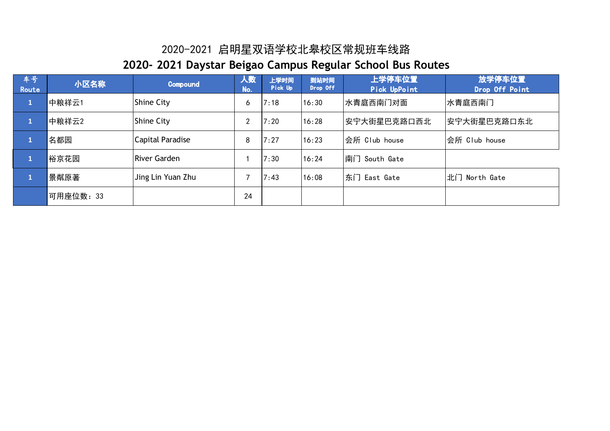| 车号,<br>Route | 小区名称     | <b>Compound</b>     | 人数<br>No. | 上学时间<br>Pick Up | 到站时间<br>Drop Off | 上学停车位置<br>Pick UpPoint | 放学停车位置<br>Drop Off Point |
|--------------|----------|---------------------|-----------|-----------------|------------------|------------------------|--------------------------|
| $\mathbf{1}$ | 中粮祥云1    | <b>Shine City</b>   | 6         | 7:18            | 16:30            | 水青庭西南门对面               | 水青庭西南门                   |
|              | 中粮祥云2    | <b>Shine City</b>   | າ         | 7:20            | 16:28            | 安宁大街星巴克路口西北            | 安宁大街星巴克路口东北              |
|              | 名都园      | Capital Paradise    | 8         | 7:27            | 16:23            | 会所 Club house          | 会所 Club house            |
|              | 裕京花园     | <b>River Garden</b> |           | 7:30            | 16:24            | 南门 South Gate          |                          |
|              | 景粼原著     | Jing Lin Yuan Zhu   |           | 7:43            | 16:08            | 东门 East Gate           | 北门 North Gate            |
|              | 可用座位数:33 |                     | 24        |                 |                  |                        |                          |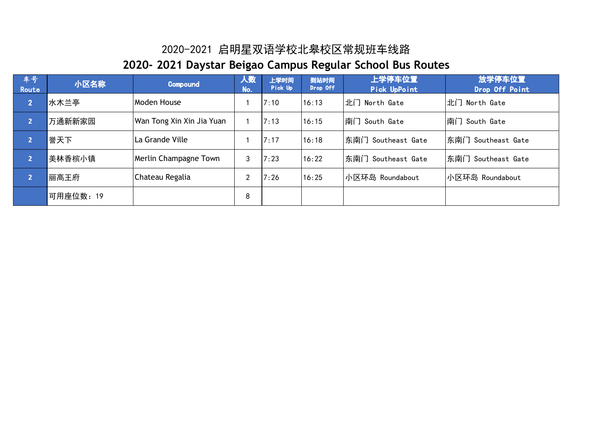| 车号!<br>Route   | 小区名称      | Compound                  | 人数<br>No. | 上学时间<br>Pick Up | 到站时间<br>Drop Off | 上学停车位置<br>Pick UpPoint | 放学停车位置<br>Drop Off Point |
|----------------|-----------|---------------------------|-----------|-----------------|------------------|------------------------|--------------------------|
| $\overline{2}$ | 水木兰亭      | Moden House               |           | 7:10            | 16:13            | 北门 North Gate          | 北门 North Gate            |
| 2              | 万通新新家园    | Wan Tong Xin Xin Jia Yuan |           | 7:13            | 16:15            | 南门 South Gate          | 南门 South Gate            |
|                | 誉天下       | La Grande Ville           |           | 7:17            | 16:18            | 东南门 Southeast Gate     | 东南门 Southeast Gate       |
| $\overline{2}$ | 美林香槟小镇    | Merlin Champagne Town     | 3         | 7:23            | 16:22            | 东南门 Southeast Gate     | 东南门 Southeast Gate       |
| $\overline{2}$ | 丽高王府      | Chateau Regalia           | ົ         | 7:26            | 16:25            | 小区环岛 Roundabout        | 小区环岛 Roundabout          |
|                | 可用座位数: 19 |                           | 8         |                 |                  |                        |                          |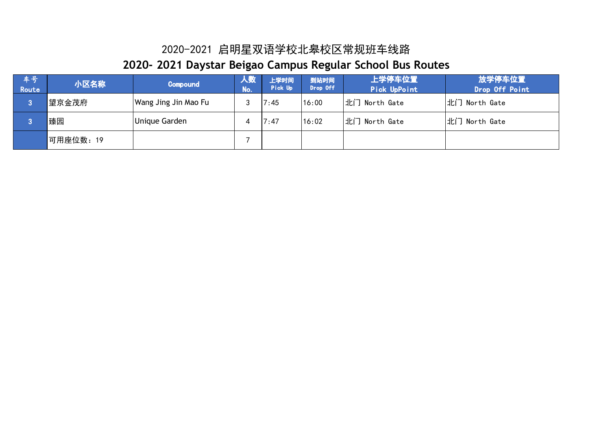| 车号<br>Route | 小区名称      | Compound             | 人数<br>No. | 上学时间<br>Pick Up | 到站时间<br>Drop Off | 上学停车位置<br>Pick UpPoint | 放学停车位置<br>Drop Off Point |
|-------------|-----------|----------------------|-----------|-----------------|------------------|------------------------|--------------------------|
| o           | 望京金茂府     | Wang Jing Jin Mao Fu |           | 7:45            | 16:00            | 北门 North Gate          | 北门 North Gate            |
|             | 臻园        | Unique Garden        |           | 7:47            | 16:02            | 北门 North Gate          | 北门 North Gate            |
|             | │可用座位数:19 |                      |           |                 |                  |                        |                          |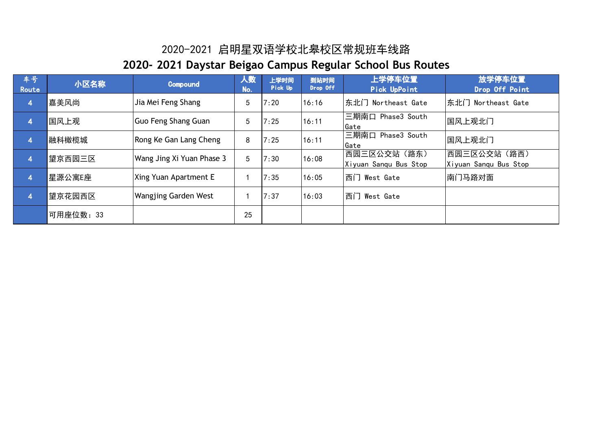| 车号<br>Route             | 小区名称      | <b>Compound</b>             | 人数<br>No. | 上学时间<br>Pick Up | 到站时间<br>Drop Off | 上学停车位置<br>Pick UpPoint               | 放学停车位置<br>Drop Off Point             |
|-------------------------|-----------|-----------------------------|-----------|-----------------|------------------|--------------------------------------|--------------------------------------|
| $\overline{\mathbf{A}}$ | 嘉美风尚      | Jia Mei Feng Shang          | 5         | 7:20            | 16:16            | 东北门 Northeast Gate                   | 东北门 Northeast Gate                   |
| 4                       | 国风上观      | Guo Feng Shang Guan         | 5         | 7:25            | 16:11            | 三期南口 Phase3 South<br>Gate            | 国风上观北门                               |
| $\overline{4}$          | 融科橄榄城     | Rong Ke Gan Lang Cheng      | 8         | 7:25            | 16:11            | 三期南口 Phase3 South<br>Gate            | 国风上观北门                               |
| $\overline{\mathbf{4}}$ | 望京西园三区    | Wang Jing Xi Yuan Phase 3   | 5         | 7:30            | 16:08            | 西园三区公交站(路东)<br>Xiyuan Sanqu Bus Stop | 西园三区公交站(路西)<br>Xiyuan Sanqu Bus Stop |
| $\overline{4}$          | 星源公寓E座    | Xing Yuan Apartment E       |           | 7:35            | 16:05            | 西门 West Gate                         | 南门马路对面                               |
| $\overline{4}$          | 望京花园西区    | <b>Wangjing Garden West</b> |           | 7:37            | 16:03            | 西门 West Gate                         |                                      |
|                         | 可用座位数: 33 |                             | 25        |                 |                  |                                      |                                      |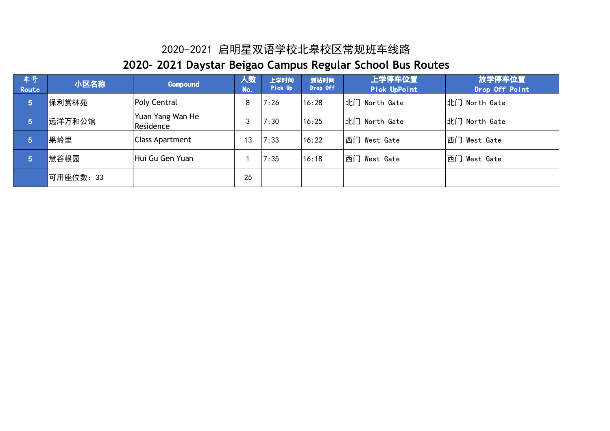| 车号<br>Route     | 小区名称      | Compound                      | 人数<br>No. | 上学时间<br>Pick Up | 到站时间<br>Drop Off | 上学停车位置<br>Pick UpPoint | 放学停车位置<br>Drop Off Point |
|-----------------|-----------|-------------------------------|-----------|-----------------|------------------|------------------------|--------------------------|
| $5\phantom{.0}$ | 保利赏林苑     | <b>Poly Central</b>           | 8         | 7:26            | 16:28            | 北门 North Gate          | 北门 North Gate            |
| 15)             | 远洋万和公馆    | Yuan Yang Wan He<br>Residence | 3         | 7:30            | 16:25            | 北门 North Gate          | 北门 North Gate            |
| 5               | 果岭里       | Class Apartment               | 13        | 7:33            | 16:22            | 西门 West Gate           | 西门 West Gate             |
| $\sqrt{5}$      | 慧谷根园      | Hui Gu Gen Yuan               |           | 7:35            | 16:18            | 西门 West Gate           | 西门 West Gate             |
|                 | 可用座位数: 33 |                               | 25        |                 |                  |                        |                          |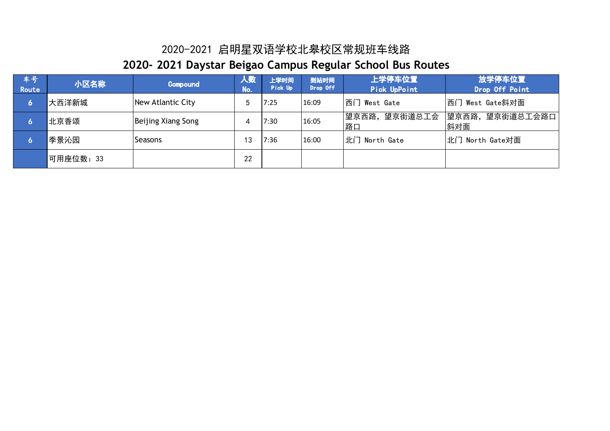| 车号,<br>Route | 小区名称      | Compound           | 人数<br>No. | 上学时间<br>Pick Up | 到站时间<br>Drop Off | 上学停车位置<br>Pick UpPoint  | 放学停车位置<br>Drop Off Point |
|--------------|-----------|--------------------|-----------|-----------------|------------------|-------------------------|--------------------------|
| 6            | 大西洋新城     | New Atlantic City  | 5         | 7:25            | 16:09            | 西门 West Gate            | 西门 West Gate斜对面          |
|              | 北京香颂      | Beijing Xiang Song |           | 7:30            | 16:05            | 望京街道总工会<br> 望京西路,<br>路口 | 望京西路,望京街道总工会路口 <br>斜对面   |
|              | 季景沁园      | Seasons            | 13        | 7:36            | 16:00            | 北门 North Gate           | 北门 North Gate对面          |
|              | 可用座位数: 33 |                    | 22        |                 |                  |                         |                          |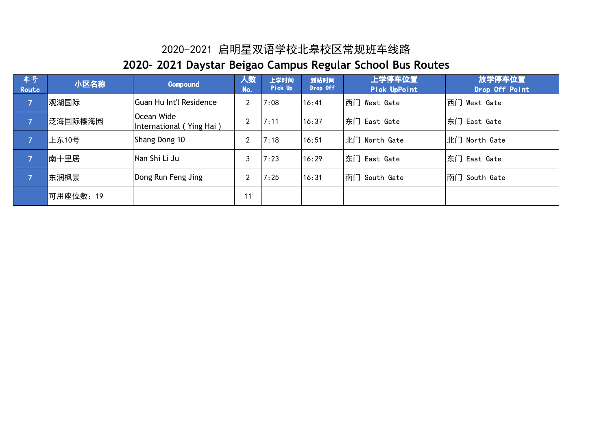| 车号<br>Route    | 小区名称              | <b>Compound</b>                               | 人数<br>No.      | 上学时间<br>Pick Up | 到站时间<br>Drop Off | 上学停车位置<br>Pick UpPoint | 放学停车位置<br>Drop Off Point |
|----------------|-------------------|-----------------------------------------------|----------------|-----------------|------------------|------------------------|--------------------------|
| $\mathsf{Z}^1$ | 观湖国际              | Guan Hu Int'l Residence                       | 2              | 7:08            | 16:41            | 西门 West Gate           | 西门 West Gate             |
| $\overline{7}$ | 泛海国际樱海园           | <b>Ocean Wide</b><br>International (Ying Hai) | $\overline{2}$ | 7:11            | 16:37            | 东门 East Gate           | 东门 East Gate             |
|                | 上东10号             | Shang Dong 10                                 | າ              | 7:18            | 16:51            | 北门 North Gate          | 北门 North Gate            |
| A.             | <sup>1</sup> 南十里居 | INan Shi Li Ju                                | 3              | 7:23            | 16:29            | 东门 East Gate           | 东门 East Gate             |
| 7              | 东润枫景              | Dong Run Feng Jing                            | <sup></sup>    | 7:25            | 16:31            | 南门 South Gate          | 南门 South Gate            |
|                | 可用座位数: 19         |                                               | 11             |                 |                  |                        |                          |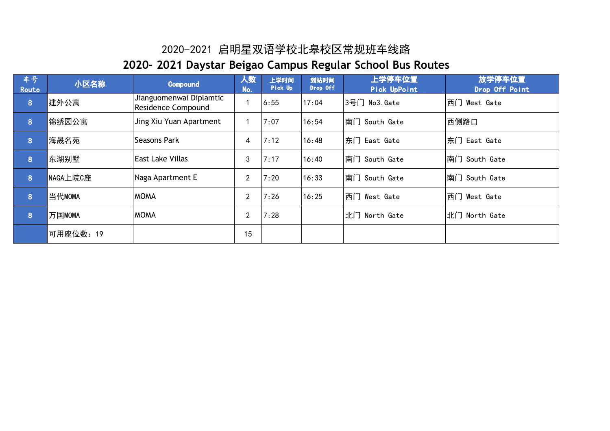| 车号<br>Route | 小区名称      | Compound                                      | 人数<br>No.      | 上学时间<br>Pick Up | 到站时间<br>Drop Off | 上学停车位置<br>Pick UpPoint | 放学停车位置<br>Drop Off Point |
|-------------|-----------|-----------------------------------------------|----------------|-----------------|------------------|------------------------|--------------------------|
| 8           | 建外公寓      | Jianguomenwai Diplamtic<br>Residence Compound |                | 6:55            | 17:04            | 3号门 No3. Gate          | 西门 West Gate             |
| 8           | 锦绣园公寓     | Jing Xiu Yuan Apartment                       |                | 7:07            | 16:54            | 南门 South Gate          | 西侧路口                     |
| 8           | 海晟名苑      | Seasons Park                                  | 4              | 7:12            | 16:48            | 东门 East Gate           | 东门 East Gate             |
| 8           | 东湖别墅      | <b>East Lake Villas</b>                       | 3              | 7:17            | 16:40            | 南门 South Gate          | 南门 South Gate            |
| 8           | NAGA上院C座  | Naga Apartment E                              | $\overline{2}$ | 7:20            | 16:33            | 南门 South Gate          | 南门 South Gate            |
| 8           | 当代MOMA    | <b>MOMA</b>                                   | $\overline{2}$ | 7:26            | 16:25            | 西门 West Gate           | 西门 West Gate             |
| 8           | 万国MOMA    | <b>MOMA</b>                                   | $\overline{2}$ | 7:28            |                  | 北门 North Gate          | 北门 North Gate            |
|             | 可用座位数: 19 |                                               | 15             |                 |                  |                        |                          |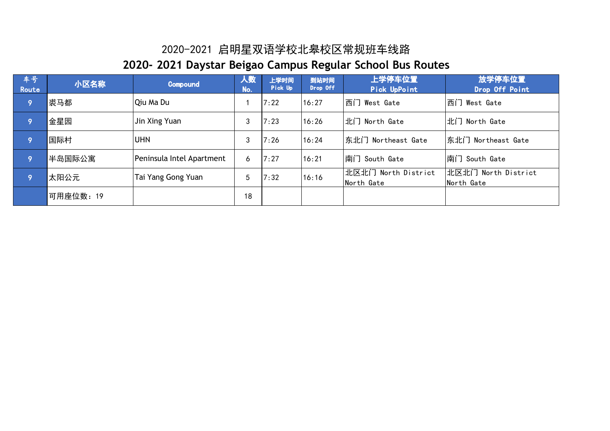| 车号<br>Route | 小区名称      | <b>Compound</b>           | 人数<br>No. | 上学时间<br>Pick Up | 到站时间<br>Drop Off | 上学停车位置<br>Pick UpPoint            | 放学停车位置<br>Drop Off Point          |
|-------------|-----------|---------------------------|-----------|-----------------|------------------|-----------------------------------|-----------------------------------|
| 9۱)         | 裘马都       | Qiu Ma Du                 |           | 7:22            | 16:27            | 西门 West Gate                      | 西门 West Gate                      |
| 9           | 金星园       | Jin Xing Yuan             | 3         | 7:23            | 16:26            | 北门 North Gate                     | 北门 North Gate                     |
| ç           | 国际村       | <b>UHN</b>                | 3         | 7:26            | 16:24            | 东北门 Northeast Gate                | 东北门 Northeast Gate                |
| 9           | 半岛国际公寓    | Peninsula Intel Apartment | 6         | 7:27            | 16:21            | 南门 South Gate                     | 南门 South Gate                     |
| 9           | 太阳公元      | Tai Yang Gong Yuan        | 5         | 7:32            | 16:16            | 北区北门 North District<br>North Gate | 北区北门 North District<br>North Gate |
|             | 可用座位数: 19 |                           | 18        |                 |                  |                                   |                                   |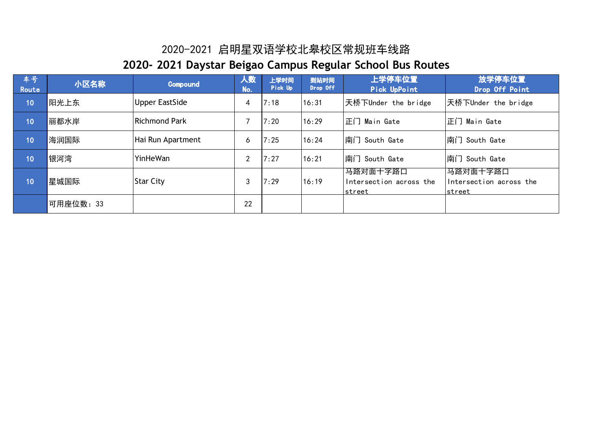| 车号<br>Route | 小区名称     | <b>Compound</b>       | 人数<br>No. | 上学时间<br>Pick Up | 到站时间<br>Drop Off | <sup>'</sup> 上学停车位置,<br>Pick UpPoint          | 放学停车位置<br>Drop Off Point                      |
|-------------|----------|-----------------------|-----------|-----------------|------------------|-----------------------------------------------|-----------------------------------------------|
| 10          | 阳光上东     | <b>Upper EastSide</b> | 4         | 7:18            | 16:31            | 天桥下Under the bridge                           | 天桥下Under the bridge                           |
| 10          | 丽都水岸     | <b>Richmond Park</b>  |           | 7:20            | 16:29            | 正门 Main Gate                                  | 正门 Main Gate                                  |
| 10          | 海润国际     | Hai Run Apartment     | 6         | 7:25            | 16:24            | 南门 South Gate                                 | 南门 South Gate                                 |
| 10          | 银河湾      | YinHeWan              | 2         | 7:27            | 16:21            | 南门 South Gate                                 | 南门 South Gate                                 |
| 10          | 星城国际     | <b>Star City</b>      | 3         | 7:29            | 16:19            | 马路对面十字路口<br>Intersection across the<br>street | 马路对面十字路口<br>Intersection across the<br>street |
|             | 可用座位数:33 |                       | 22        |                 |                  |                                               |                                               |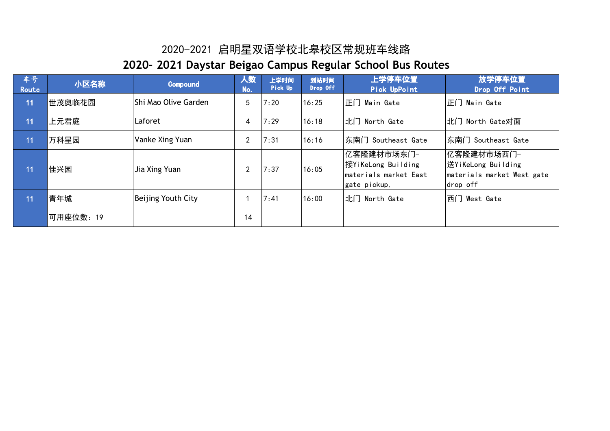| 车号<br>Route | 小区名称      | Compound              | 人数<br>No. | 上学时间<br>Pick Up | 到站时间<br>Drop Off | 上学停车位置<br>Pick UpPoint                                                    | 放学停车位置<br>Drop Off Point                                                   |
|-------------|-----------|-----------------------|-----------|-----------------|------------------|---------------------------------------------------------------------------|----------------------------------------------------------------------------|
| 11          | 世茂奥临花园    | IShi Mao Olive Garden | 5         | 7:20            | 16:25            | 正门 Main Gate                                                              | 正门 Main Gate                                                               |
| 11          | 上元君庭      | Laforet               | 4         | 7:29            | 16:18            | 北门 North Gate                                                             | 北门 North Gate对面                                                            |
| 11          | 万科星园      | Vanke Xing Yuan       | 2         | 7:31            | 16:16            | 东南门 Southeast Gate                                                        | 东南门 Southeast Gate                                                         |
| 11          | 佳兴园       | Jia Xing Yuan         | 2         | 7:37            | 16:05            | 亿客隆建材市场东门-<br>接YiKeLong Building<br>materials market East<br>gate pickup, | 亿客隆建材市场西门-<br>送YiKeLong Building<br>materials market West gate<br>drop off |
| 11          | 青年城       | Beijing Youth City    |           | 7:41            | 16:00            | 北门 North Gate                                                             | 西门 West Gate                                                               |
|             | 可用座位数: 19 |                       | 14        |                 |                  |                                                                           |                                                                            |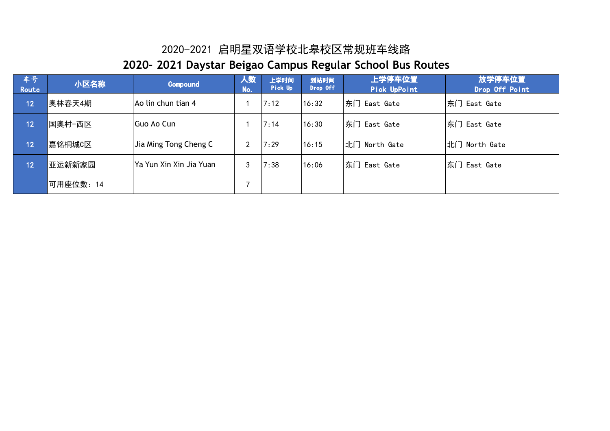| 车号<br>Route             | 小区名称      | Compound                 | 人数<br>No. | 上学时间<br>Pick Up | 到站时间<br>Drop Off | 上学停车位置<br>Pick UpPoint | 放学停车位置<br>Drop Off Point |
|-------------------------|-----------|--------------------------|-----------|-----------------|------------------|------------------------|--------------------------|
| $\mathbf{12}^{\dagger}$ | 奥林春天4期    | Ao lin chun tian 4       |           | 7:12            | 16:32            | 东门 East Gate           | 东门 East Gate             |
| 12                      | 国奥村-西区    | IGuo Ao Cun              |           | 7:14            | 16:30            | 东门 East Gate           | 东门 East Gate             |
| 12                      | 嘉铭桐城C区    | Jia Ming Tong Cheng C    | ◠         | 7:29            | 16:15            | 北门 North Gate          | 北门 North Gate            |
| $\overline{1}2$         | 亚运新新家园    | lYa Yun Xin Xin Jia Yuan | 3         | 7:38            | 16:06            | 东门 East Gate           | 东门 East Gate             |
|                         | 可用座位数: 14 |                          |           |                 |                  |                        |                          |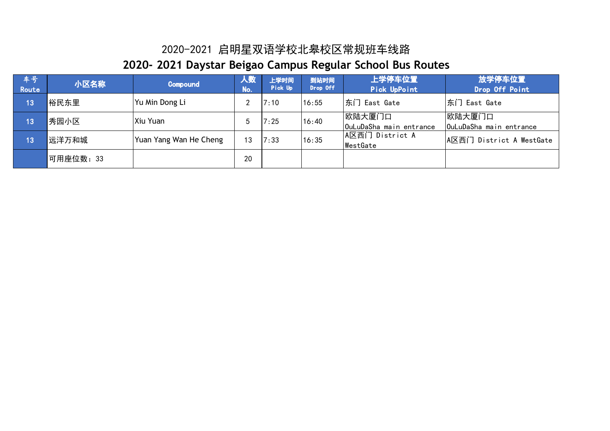| 车号<br>Route | 小区名称      | Compound               | 人数<br>No. | 上学时间<br>Pick Up | 到站时间<br>Drop Off | 上学停车位置<br>Pick UpPoint            | 放学停车位置<br>Drop Off Point          |
|-------------|-----------|------------------------|-----------|-----------------|------------------|-----------------------------------|-----------------------------------|
| 13          | 裕民东里      | Yu Min Dong Li         |           | 7:10            | 16:55            | 东门 East Gate                      | 东门 East Gate                      |
| 13          | 秀园小区      | Xiu Yuan               |           | 7:25            | 16:40            | 欧陆大厦门口<br>OuLuDaSha main entrance | 欧陆大厦门口<br>OuLuDaSha main entrance |
| 13          | 远洋万和城     | Yuan Yang Wan He Cheng | 13        | 7:33            | 16:35            | A区西门 District A<br>WestGate       | A区西门 District A WestGate          |
|             | 可用座位数: 33 |                        | 20        |                 |                  |                                   |                                   |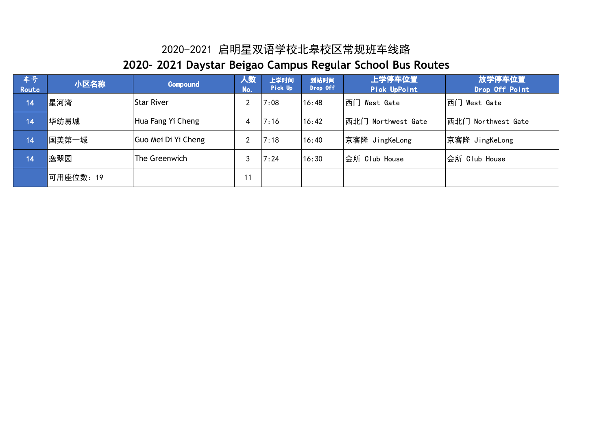| 车号<br>Route | 小区名称      | Compound            | 人数<br>No. | 上学时间<br>Pick Up | 到站时间<br>Drop Off | 上学停车位置<br>Pick UpPoint | 放学停车位置<br>Drop Off Point |
|-------------|-----------|---------------------|-----------|-----------------|------------------|------------------------|--------------------------|
| 14          | 星河湾       | <b>Star River</b>   | C         | 7:08            | 16:48            | 西门<br>West Gate        | 西门<br>West Gate          |
| 14          | 华纺易城      | Hua Fang Yi Cheng   |           | 7:16            | 16:42            | 西北门 Northwest Gate     | 西北门 Northwest Gate       |
| 14          | 国美第一城     | Guo Mei Di Yi Cheng | ↑         | 7:18            | 16:40            | 京客隆 JingKeLong         | 京客隆 JingKeLong           |
| 14          | 逸翠园       | The Greenwich       | 3         | 7:24            | 16:30            | 会所 Club House          | 会所 Club House            |
|             | 可用座位数: 19 |                     | 11        |                 |                  |                        |                          |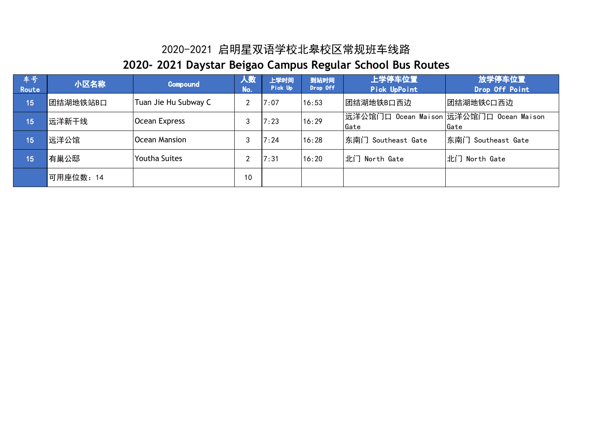| 车号<br>Route | 小区名称      | Compound             | 人数<br>No. | 上学时间<br>Pick Up | 到站时间<br>Drop Off | 上学停车位置<br>Pick UpPoint                           | 放学停车位置<br>Drop Off Point |
|-------------|-----------|----------------------|-----------|-----------------|------------------|--------------------------------------------------|--------------------------|
| 15          | 团结湖地铁站B口  | Tuan Jie Hu Subway C | C         | 7:07            | 16:53            | 团结湖地铁B口西边                                        | 团结湖地铁C口西边                |
| 15          | 远洋新干线     | Ocean Express        | 3         | 7:23            | 16:29            | 远洋公馆门口 Ocean Maison 远洋公馆门口 Ocean Maison <br>Gate | lGate                    |
| 15          | 远洋公馆      | Ocean Mansion        | 3         | 7:24            | 16:28            | 东南门 Southeast Gate                               | 东南门 Southeast Gate       |
| 15          | 有巢公邸      | <b>Youtha Suites</b> | າ         | 7:31            | 16:20            | 北门 North Gate                                    | 北门 North Gate            |
|             | 可用座位数: 14 |                      | 10        |                 |                  |                                                  |                          |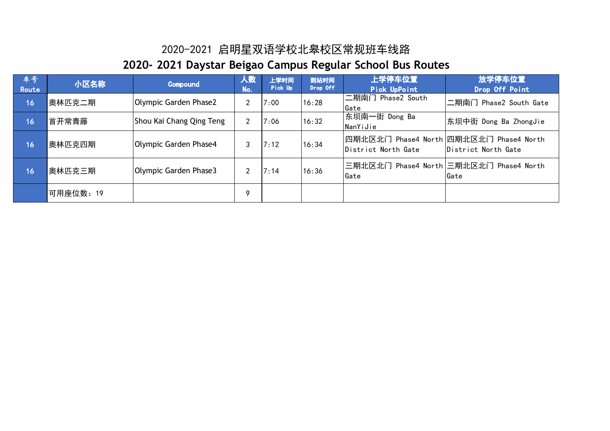| 车号!<br>Route | 小区名称      | Compound                 | 人数<br>No. | 上学时间<br>Pick Up | 到站时间<br>Drop Off | 上学停车位置<br>Pick UpPoint                                          | 放学停车位置<br>Drop Off Point                        |
|--------------|-----------|--------------------------|-----------|-----------------|------------------|-----------------------------------------------------------------|-------------------------------------------------|
| 16           | 奥林匹克二期    | Olympic Garden Phase2    | 2         | 7:00            | 16:28            | 二期南门 Phase2 South<br>Gate                                       | 二期南门 Phase2 South Gate                          |
| 16           | 首开常青藤     | Shou Kai Chang Qing Teng | າ         | 7:06            | 16:32            | 东坝南一街 Dong Ba<br>NanYiJie                                       | 东坝中街 Dong Ba ZhongJie                           |
| 16           | 奥林匹克四期    | Olympic Garden Phase4    | 3         | 7:12            | 16:34            | 四期北区北门 Phase4 North 四期北区北门 Phase4 North <br>District North Gate | District North Gate                             |
| 16           | 奥林匹克三期    | Olympic Garden Phase3    | 2         | 7:14            | 16:36            | Gate                                                            | 三期北区北门 Phase4 North 三期北区北门 Phase4 North<br>Gate |
|              | 可用座位数: 19 |                          | 9         |                 |                  |                                                                 |                                                 |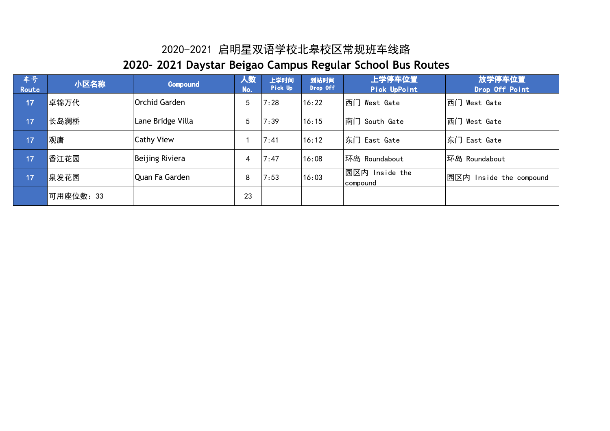| 车号<br>Route | 小区名称      | Compound          | 人数<br>No. | 上学时间<br>Pick Up | 到站时间<br>Drop Off | 上学停车位置<br>Pick UpPoint     | 放学停车位置<br>Drop Off Point    |
|-------------|-----------|-------------------|-----------|-----------------|------------------|----------------------------|-----------------------------|
| 17          | 卓锦万代      | IOrchid Garden    | 5         | 7:28            | 16:22            | 西门 West Gate               | 西门 West Gate                |
| 17          | 长岛澜桥      | Lane Bridge Villa | 5         | 7:39            | 16:15            | 南门 South Gate              | 西门 West Gate                |
| 17          | 观唐        | <b>Cathy View</b> |           | 7:41            | 16:12            | 东门 East Gate               | 东门 East Gate                |
| 17          | 香江花园      | Beijing Riviera   | 4         | 7:47            | 16:08            | 环岛 Roundabout              | 环岛 Roundabout               |
| 17          | 泉发花园      | Quan Fa Garden    | 8         | 7:53            | 16:03            | 园区内 Inside the<br>compound | 园区内 <br>Inside the compound |
|             | 可用座位数: 33 |                   | 23        |                 |                  |                            |                             |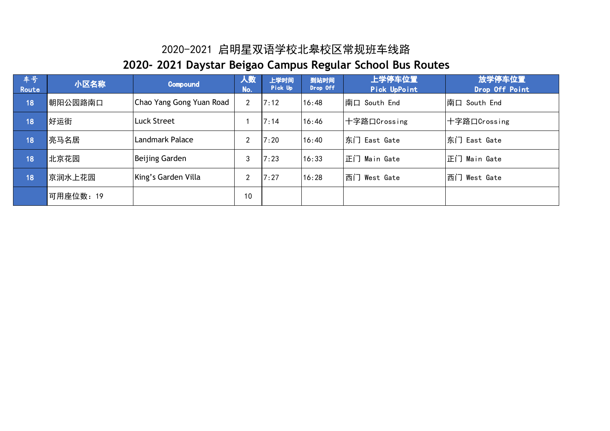| 车号<br>Route | 小区名称      | Compound                 | 人数<br>Mo.      | 上学时间<br>Pick Up | 到站时间<br>Drop Off | 上学停车位置<br>Pick UpPoint | 放学停车位置<br>Drop Off Point |
|-------------|-----------|--------------------------|----------------|-----------------|------------------|------------------------|--------------------------|
| 18          | 朝阳公园路南口   | Chao Yang Gong Yuan Road | $\overline{2}$ | 7:12            | 16:48            | │南口 South End          | 南口 South End             |
| 18          | 好运街       | Luck Street              |                | 7:14            | 16:46            | 十字路口Crossing           | 十字路口Crossing             |
| 18          | 亮马名居      | Landmark Palace          | າ              | 7:20            | 16:40            | 东门 East Gate           | 东门 East Gate             |
| 18          | 北京花园      | Beijing Garden           | 3              | 7:23            | 16:33            | 正门 Main Gate           | 正门 Main Gate             |
| 18          | 京润水上花园    | King's Garden Villa      | າ              | 7:27            | 16:28            | 西门 West Gate           | 西门<br>West Gate          |
|             | 可用座位数: 19 |                          | 10             |                 |                  |                        |                          |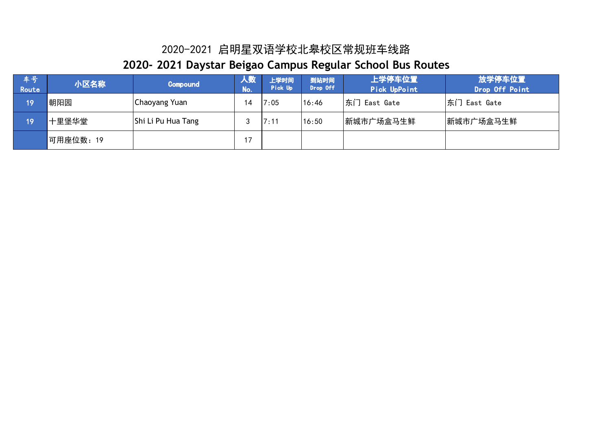| 车号<br>Route | 小区名称      | Compound           | 人数<br>No. | 上学时间<br>Pick Up | 到站时间<br>Drop Off | 上学停车位置<br>Pick UpPoint | 放学停车位置<br>Drop Off Point |
|-------------|-----------|--------------------|-----------|-----------------|------------------|------------------------|--------------------------|
| 19          | 朝阳园       | Chaoyang Yuan      | 14        | 7:05            | 16:46            | 东门 East Gate           | 东门 East Gate             |
| 19          | 十里堡华堂     | Shi Li Pu Hua Tang | 3         | 7:11            | 16:50            | 新城市广场盒马生鲜              | 新城市广场盒马生鲜                |
|             | 可用座位数: 19 |                    |           |                 |                  |                        |                          |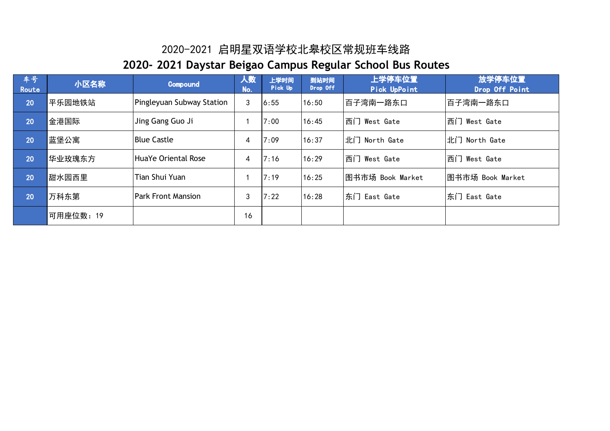| 车号<br>Route | 小区名称      | <b>Compound</b>           | 人数<br>No. | 上学时间<br>Pick Up | 到站时间<br>Drop Off | 上学停车位置<br>Pick UpPoint | 放学停车位置<br>Drop Off Point |
|-------------|-----------|---------------------------|-----------|-----------------|------------------|------------------------|--------------------------|
| 20          | 平乐园地铁站    | Pingleyuan Subway Station | 3         | 6:55            | 16:50            | 百子湾南一路东口               | 百子湾南一路东口                 |
| 20          | 金港国际      | Jing Gang Guo Ji          |           | 7:00            | 16:45            | 西门 West Gate           | 西门 West Gate             |
| 20          | 蓝堡公寓      | <b>Blue Castle</b>        | 4         | 7:09            | 16:37            | 北门 North Gate          | 北门 North Gate            |
| 20          | 华业玫瑰东方    | HuaYe Oriental Rose       | 4         | 7:16            | 16:29            | 西门 West Gate           | 西门 West Gate             |
| 20          | 甜水园西里     | <b>Tian Shui Yuan</b>     |           | 7:19            | 16:25            | 图书市场 Book Market       | 图书市场 Book Market         |
| 20          | 万科东第      | <b>Park Front Mansion</b> | 3         | 7:22            | 16:28            | 东门 East Gate           | 东门 East Gate             |
|             | 可用座位数: 19 |                           | 16        |                 |                  |                        |                          |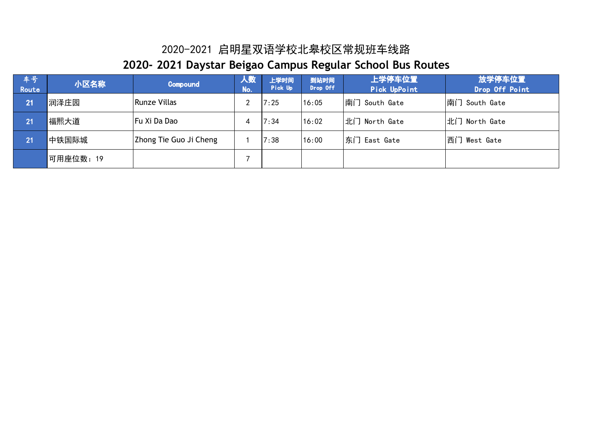| 车号<br>Route | 小区名称     | Compound               | 人数<br>No. | 上学时间<br>Pick Up | 到站时间<br>Drop Off | 上学停车位置<br>Pick UpPoint | 放学停车位置<br>Drop Off Point |
|-------------|----------|------------------------|-----------|-----------------|------------------|------------------------|--------------------------|
| 21          | 润泽庄园     | <b>Runze Villas</b>    |           | 7:25            | 16:05            | 南门 South Gate          | 南门 South Gate            |
| 21          | 福熙大道     | Fu Xi Da Dao           |           | 7:34            | 16:02            | 北门 North Gate          | 北门 North Gate            |
| 21          | 中铁国际城    | Zhong Tie Guo Ji Cheng |           | 7:38            | 16:00            | 东门 East Gate           | 西门 West Gate             |
|             | 可用座位数:19 |                        |           |                 |                  |                        |                          |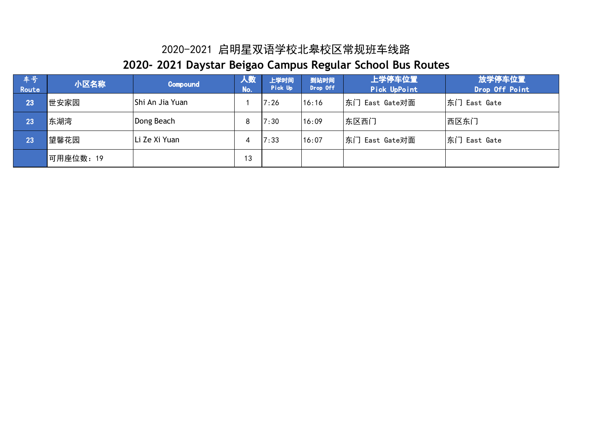| 车号<br>Route | 小区名称      | Compound        | 人数<br>No. | 上学时间<br>Pick Up | 到站时间<br>Drop Off | 上学停车位置<br>Pick UpPoint | 放学停车位置<br>Drop Off Point |
|-------------|-----------|-----------------|-----------|-----------------|------------------|------------------------|--------------------------|
| 23          | 世安家园      | Shi An Jia Yuan |           | 7:26            | 16:16            | 东门 East Gate对面         | 东门 East Gate             |
| 23          | 东湖湾       | Dong Beach      | 8         | 7:30            | 16:09            | 东区西门                   | 西区东门                     |
| 23          | 望馨花园      | Li Ze Xi Yuan   |           | 7:33            | 16:07            | 东门 East Gate对面         | 东门 East Gate             |
|             | 可用座位数: 19 |                 | 13        |                 |                  |                        |                          |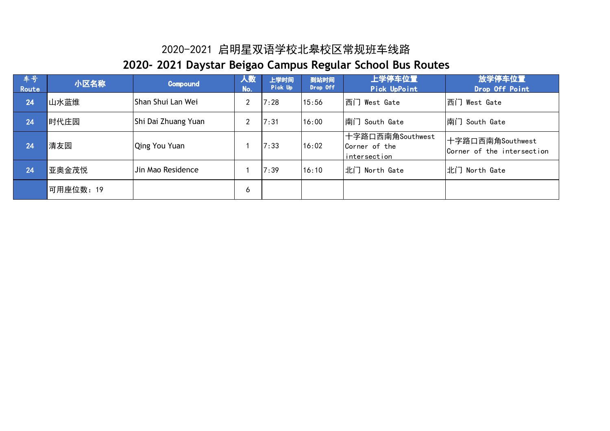| 车号!<br>Route | 小区名称      | Compound            | 人数<br>No. | 上学时间<br>Pick Up | 到站时间<br>Drop Off | 上学停车位置<br>Pick UpPoint                            | 放学停车位置<br>Drop Off Point                       |
|--------------|-----------|---------------------|-----------|-----------------|------------------|---------------------------------------------------|------------------------------------------------|
| 24           | 山水蓝维      | Shan Shui Lan Wei   | ົ         | 7:28            | 15:56            | 西门 West Gate                                      | 西门 West Gate                                   |
| 24           | 时代庄园      | Shi Dai Zhuang Yuan | ົ         | 7:31            | 16:00            | 南门 South Gate                                     | 南门 South Gate                                  |
| 24           | 清友园       | Qing You Yuan       |           | 7:33            | 16:02            | 十字路口西南角Southwest<br>Corner of the<br>intersection | 十字路口西南角Southwest<br>Corner of the intersection |
| 24           | 亚奥金茂悦     | Jin Mao Residence   |           | 7:39            | 16:10            | 北门 North Gate                                     | 北门 North Gate                                  |
|              | 可用座位数: 19 |                     | 6         |                 |                  |                                                   |                                                |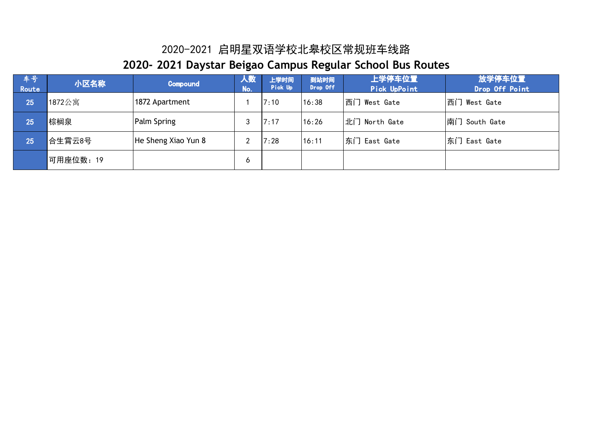| 车号<br>Route | 小区名称      | Compound            | 人致<br>No. | 上学时间<br>Pick Up | 到站时间<br>Drop Off | 上学停车位置<br>Pick UpPoint | 放学停车位置<br>Drop Off Point |
|-------------|-----------|---------------------|-----------|-----------------|------------------|------------------------|--------------------------|
| 25          | 1872公寓    | 1872 Apartment      |           | 7:10            | 16:38            | 西门 West Gate           | 西门 West Gate             |
| 25          | 棕榈泉       | <b>Palm Spring</b>  | 3         | 7:17            | 16:26            | 北门 North Gate          | 南门 South Gate            |
| 25          | 合生霄云8号    | He Sheng Xiao Yun 8 | ົ         | 7:28            | 16:11            | 东门 East Gate           | 东门 East Gate             |
|             | 可用座位数: 19 |                     | Ò         |                 |                  |                        |                          |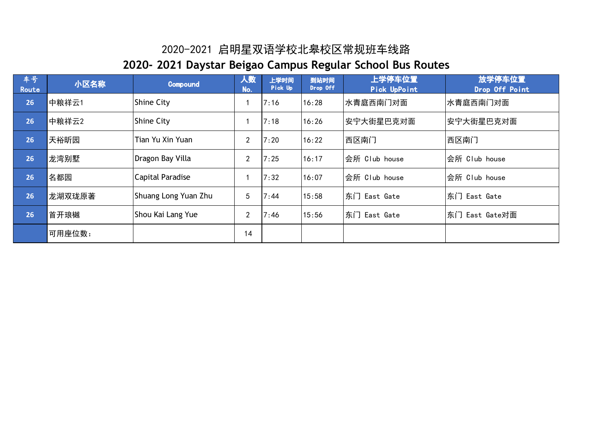| 车号<br>Route | 小区名称   | <b>Compound</b>      | 人数<br>No.      | 上学时间<br>Pick Up | 到站时间<br>Drop Off | 上学停车位置<br>Pick UpPoint | 放学停车位置<br>Drop Off Point |
|-------------|--------|----------------------|----------------|-----------------|------------------|------------------------|--------------------------|
| 26          | 中粮祥云1  | <b>Shine City</b>    |                | 7:16            | 16:28            | 水青庭西南门对面               | 水青庭西南门对面                 |
| 26          | 中粮祥云2  | <b>Shine City</b>    |                | 7:18            | 16:26            | 安宁大街星巴克对面              | 安宁大街星巴克对面                |
| 26          | 天裕昕园   | Tian Yu Xin Yuan     | $\overline{2}$ | 7:20            | 16:22            | 西区南门                   | 西区南门                     |
| 26          | 龙湾别墅   | Dragon Bay Villa     | $\overline{2}$ | 7:25            | 16:17            | 会所 Club house          | 会所 Club house            |
| 26          | 名都园    | Capital Paradise     |                | 7:32            | 16:07            | 会所 Club house          | 会所 Club house            |
| 26          | 龙湖双珑原著 | Shuang Long Yuan Zhu | 5              | 7:44            | 15:58            | 东门 East Gate           | 东门 East Gate             |
| 26          | 首开琅樾   | Shou Kai Lang Yue    | $\overline{2}$ | 7:46            | 15:56            | 东门 East Gate           | 东门 East Gate对面           |
|             | 可用座位数: |                      | 14             |                 |                  |                        |                          |